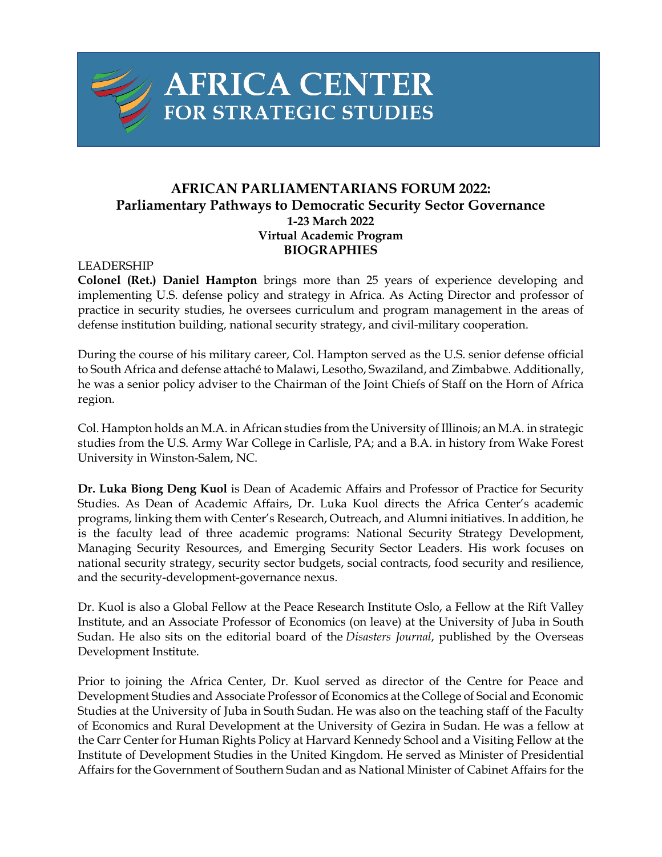

# **AFRICA CENTER** FOR STRATEGIC STUDIES

## **AFRICAN PARLIAMENTARIANS FORUM 2022: Parliamentary Pathways to Democratic Security Sector Governance 1-23 March 2022 Virtual Academic Program BIOGRAPHIES**

### LEADERSHIP

**Colonel (Ret.) Daniel Hampton** brings more than 25 years of experience developing and implementing U.S. defense policy and strategy in Africa. As Acting Director and professor of practice in security studies, he oversees curriculum and program management in the areas of defense institution building, national security strategy, and civil-military cooperation.

During the course of his military career, Col. Hampton served as the U.S. senior defense official to South Africa and defense attaché to Malawi, Lesotho, Swaziland, and Zimbabwe. Additionally, he was a senior policy adviser to the Chairman of the Joint Chiefs of Staff on the Horn of Africa region.

Col. Hampton holds an M.A. in African studies from the University of Illinois; an M.A. in strategic studies from the U.S. Army War College in Carlisle, PA; and a B.A. in history from Wake Forest University in Winston-Salem, NC.

**Dr. Luka Biong Deng Kuol** is Dean of Academic Affairs and Professor of Practice for Security Studies. As Dean of Academic Affairs, Dr. Luka Kuol directs the Africa Center's academic programs, linking them with Center's Research, Outreach, and Alumni initiatives. In addition, he is the faculty lead of three academic programs: National Security Strategy Development, Managing Security Resources, and Emerging Security Sector Leaders. His work focuses on national security strategy, security sector budgets, social contracts, food security and resilience, and the security-development-governance nexus.

Dr. Kuol is also a Global Fellow at the Peace Research Institute Oslo, a Fellow at the Rift Valley Institute, and an Associate Professor of Economics (on leave) at the University of Juba in South Sudan. He also sits on the editorial board of the *Disasters Journal*, published by the Overseas Development Institute.

Prior to joining the Africa Center, Dr. Kuol served as director of the Centre for Peace and Development Studies and Associate Professor of Economics at the College of Social and Economic Studies at the University of Juba in South Sudan. He was also on the teaching staff of the Faculty of Economics and Rural Development at the University of Gezira in Sudan. He was a fellow at the Carr Center for Human Rights Policy at Harvard Kennedy School and a Visiting Fellow at the Institute of Development Studies in the United Kingdom. He served as Minister of Presidential Affairs for the Government of Southern Sudan and as National Minister of Cabinet Affairs for the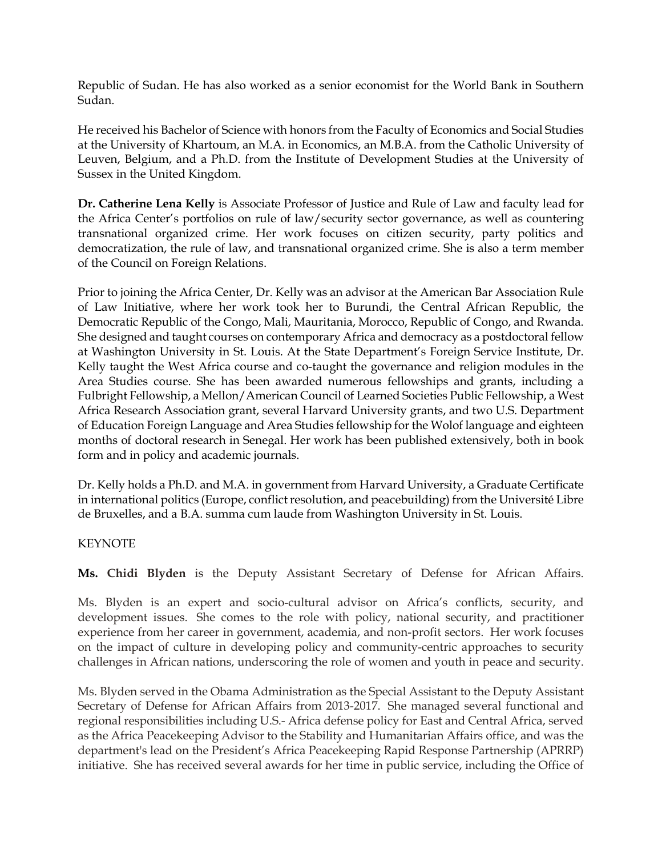Republic of Sudan. He has also worked as a senior economist for the World Bank in Southern Sudan.

He received his Bachelor of Science with honors from the Faculty of Economics and Social Studies at the University of Khartoum, an M.A. in Economics, an M.B.A. from the Catholic University of Leuven, Belgium, and a Ph.D. from the Institute of Development Studies at the University of Sussex in the United Kingdom.

**Dr. Catherine Lena Kelly** is Associate Professor of Justice and Rule of Law and faculty lead for the Africa Center's portfolios on rule of law/security sector governance, as well as countering transnational organized crime. Her work focuses on citizen security, party politics and democratization, the rule of law, and transnational organized crime. She is also a term member of the Council on Foreign Relations.

Prior to joining the Africa Center, Dr. Kelly was an advisor at the American Bar Association Rule of Law Initiative, where her work took her to Burundi, the Central African Republic, the Democratic Republic of the Congo, Mali, Mauritania, Morocco, Republic of Congo, and Rwanda. She designed and taught courses on contemporary Africa and democracy as a postdoctoral fellow at Washington University in St. Louis. At the State Department's Foreign Service Institute, Dr. Kelly taught the West Africa course and co-taught the governance and religion modules in the Area Studies course. She has been awarded numerous fellowships and grants, including a Fulbright Fellowship, a Mellon/American Council of Learned Societies Public Fellowship, a West Africa Research Association grant, several Harvard University grants, and two U.S. Department of Education Foreign Language and Area Studies fellowship for the Wolof language and eighteen months of doctoral research in Senegal. Her work has been published extensively, both in book form and in policy and academic journals.

Dr. Kelly holds a Ph.D. and M.A. in government from Harvard University, a Graduate Certificate in international politics (Europe, conflict resolution, and peacebuilding) from the Université Libre de Bruxelles, and a B.A. summa cum laude from Washington University in St. Louis.

### **KEYNOTE**

**Ms. Chidi Blyden** is the Deputy Assistant Secretary of Defense for African Affairs.

Ms. Blyden is an expert and socio-cultural advisor on Africa's conflicts, security, and development issues. She comes to the role with policy, national security, and practitioner experience from her career in government, academia, and non-profit sectors. Her work focuses on the impact of culture in developing policy and community-centric approaches to security challenges in African nations, underscoring the role of women and youth in peace and security.

Ms. Blyden served in the Obama Administration as the Special Assistant to the Deputy Assistant Secretary of Defense for African Affairs from 2013-2017. She managed several functional and regional responsibilities including U.S.- Africa defense policy for East and Central Africa, served as the Africa Peacekeeping Advisor to the Stability and Humanitarian Affairs office, and was the department's lead on the President's Africa Peacekeeping Rapid Response Partnership (APRRP) initiative. She has received several awards for her time in public service, including the Office of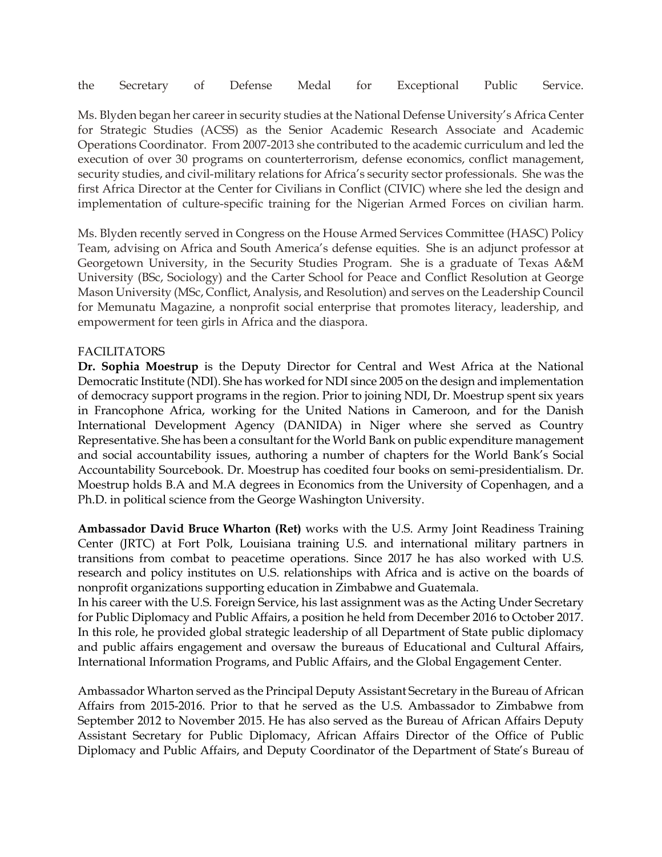the Secretary of Defense Medal for Exceptional Public Service.

Ms. Blyden began her career in security studies at the National Defense University's Africa Center for Strategic Studies (ACSS) as the Senior Academic Research Associate and Academic Operations Coordinator. From 2007-2013 she contributed to the academic curriculum and led the execution of over 30 programs on counterterrorism, defense economics, conflict management, security studies, and civil-military relations for Africa's security sector professionals. She was the first Africa Director at the Center for Civilians in Conflict (CIVIC) where she led the design and implementation of culture-specific training for the Nigerian Armed Forces on civilian harm.

Ms. Blyden recently served in Congress on the House Armed Services Committee (HASC) Policy Team, advising on Africa and South America's defense equities. She is an adjunct professor at Georgetown University, in the Security Studies Program. She is a graduate of Texas A&M University (BSc, Sociology) and the Carter School for Peace and Conflict Resolution at George Mason University (MSc, Conflict, Analysis, and Resolution) and serves on the Leadership Council for Memunatu Magazine, a nonprofit social enterprise that promotes literacy, leadership, and empowerment for teen girls in Africa and the diaspora.

### FACILITATORS

**Dr. Sophia Moestrup** is the Deputy Director for Central and West Africa at the National Democratic Institute (NDI). She has worked for NDI since 2005 on the design and implementation of democracy support programs in the region. Prior to joining NDI, Dr. Moestrup spent six years in Francophone Africa, working for the United Nations in Cameroon, and for the Danish International Development Agency (DANIDA) in Niger where she served as Country Representative. She has been a consultant for the World Bank on public expenditure management and social accountability issues, authoring a number of chapters for the World Bank's Social Accountability Sourcebook. Dr. Moestrup has coedited four books on semi-presidentialism. Dr. Moestrup holds B.A and M.A degrees in Economics from the University of Copenhagen, and a Ph.D. in political science from the George Washington University.

**Ambassador David Bruce Wharton (Ret)** works with the U.S. Army Joint Readiness Training Center (JRTC) at Fort Polk, Louisiana training U.S. and international military partners in transitions from combat to peacetime operations. Since 2017 he has also worked with U.S. research and policy institutes on U.S. relationships with Africa and is active on the boards of nonprofit organizations supporting education in Zimbabwe and Guatemala.

In his career with the U.S. Foreign Service, his last assignment was as the Acting Under Secretary for Public Diplomacy and Public Affairs, a position he held from December 2016 to October 2017. In this role, he provided global strategic leadership of all Department of State public diplomacy and public affairs engagement and oversaw the bureaus of Educational and Cultural Affairs, International Information Programs, and Public Affairs, and the Global Engagement Center.

Ambassador Wharton served as the Principal Deputy Assistant Secretary in the Bureau of African Affairs from 2015-2016. Prior to that he served as the U.S. Ambassador to Zimbabwe from September 2012 to November 2015. He has also served as the Bureau of African Affairs Deputy Assistant Secretary for Public Diplomacy, African Affairs Director of the Office of Public Diplomacy and Public Affairs, and Deputy Coordinator of the Department of State's Bureau of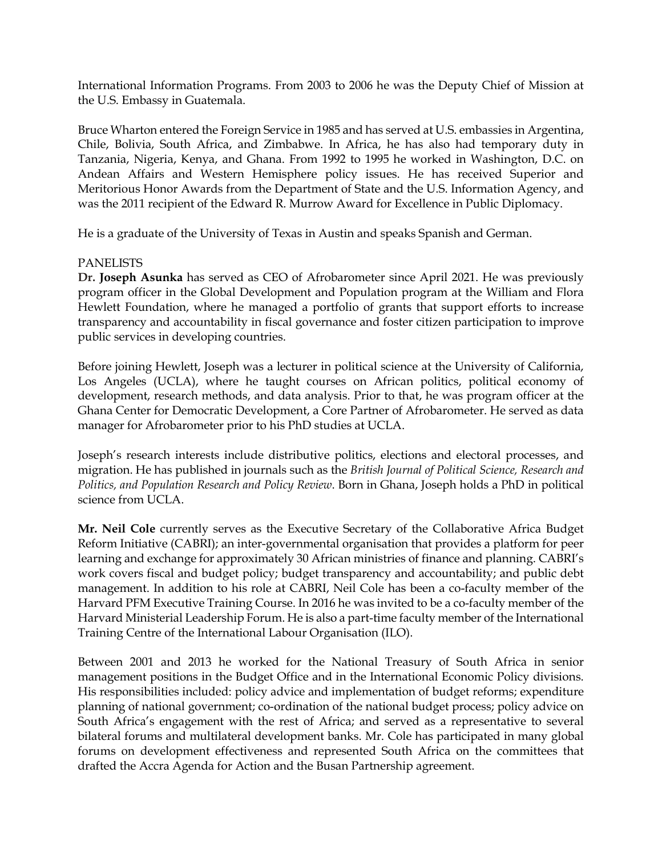International Information Programs. From 2003 to 2006 he was the Deputy Chief of Mission at the U.S. Embassy in Guatemala.

Bruce Wharton entered the Foreign Service in 1985 and has served at U.S. embassies in Argentina, Chile, Bolivia, South Africa, and Zimbabwe. In Africa, he has also had temporary duty in Tanzania, Nigeria, Kenya, and Ghana. From 1992 to 1995 he worked in Washington, D.C. on Andean Affairs and Western Hemisphere policy issues. He has received Superior and Meritorious Honor Awards from the Department of State and the U.S. Information Agency, and was the 2011 recipient of the Edward R. Murrow Award for Excellence in Public Diplomacy.

He is a graduate of the University of Texas in Austin and speaks Spanish and German.

#### PANELISTS

**Dr. Joseph Asunka** has served as CEO of Afrobarometer since April 2021. He was previously program officer in the Global Development and Population program at the William and Flora Hewlett Foundation, where he managed a portfolio of grants that support efforts to increase transparency and accountability in fiscal governance and foster citizen participation to improve public services in developing countries.

Before joining Hewlett, Joseph was a lecturer in political science at the University of California, Los Angeles (UCLA), where he taught courses on African politics, political economy of development, research methods, and data analysis. Prior to that, he was program officer at the Ghana Center for Democratic Development, a Core Partner of Afrobarometer. He served as data manager for Afrobarometer prior to his PhD studies at UCLA.

Joseph's research interests include distributive politics, elections and electoral processes, and migration. He has published in journals such as the *British Journal of Political Science, Research and Politics, and Population Research and Policy Review*. Born in Ghana, Joseph holds a PhD in political science from UCLA.

**Mr. Neil Cole** currently serves as the Executive Secretary of the Collaborative Africa Budget Reform Initiative (CABRI); an inter-governmental organisation that provides a platform for peer learning and exchange for approximately 30 African ministries of finance and planning. CABRI's work covers fiscal and budget policy; budget transparency and accountability; and public debt management. In addition to his role at CABRI, Neil Cole has been a co-faculty member of the Harvard PFM Executive Training Course. In 2016 he was invited to be a co-faculty member of the Harvard Ministerial Leadership Forum. He is also a part-time faculty member of the International Training Centre of the International Labour Organisation (ILO).

Between 2001 and 2013 he worked for the National Treasury of South Africa in senior management positions in the Budget Office and in the International Economic Policy divisions. His responsibilities included: policy advice and implementation of budget reforms; expenditure planning of national government; co-ordination of the national budget process; policy advice on South Africa's engagement with the rest of Africa; and served as a representative to several bilateral forums and multilateral development banks. Mr. Cole has participated in many global forums on development effectiveness and represented South Africa on the committees that drafted the Accra Agenda for Action and the Busan Partnership agreement.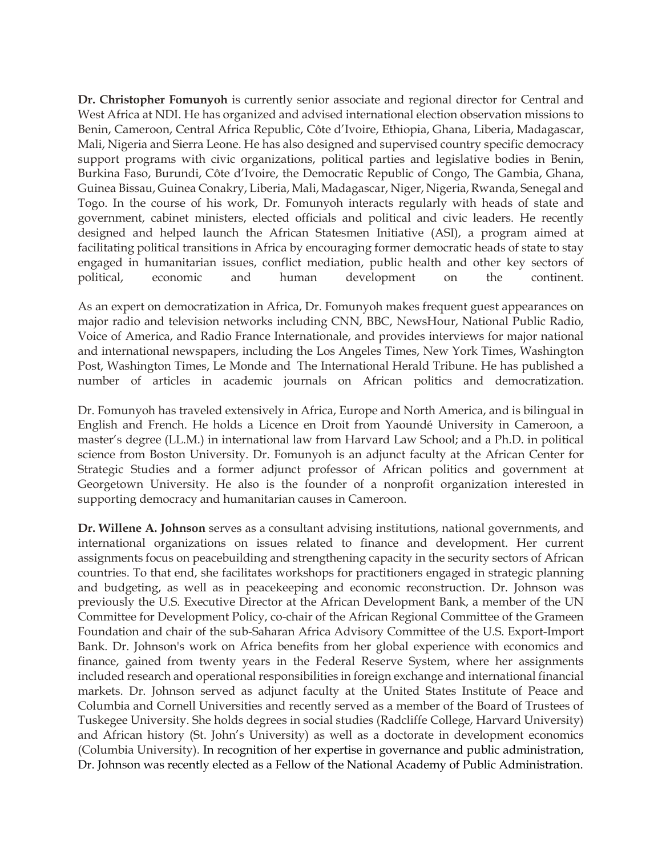**Dr. Christopher Fomunyoh** is currently senior associate and regional director for Central and West Africa at NDI. He has organized and advised international election observation missions to Benin, Cameroon, Central Africa Republic, Côte d'Ivoire, Ethiopia, Ghana, Liberia, Madagascar, Mali, Nigeria and Sierra Leone. He has also designed and supervised country specific democracy support programs with civic organizations, political parties and legislative bodies in Benin, Burkina Faso, Burundi, Côte d'Ivoire, the Democratic Republic of Congo, The Gambia, Ghana, Guinea Bissau, Guinea Conakry, Liberia, Mali, Madagascar, Niger, Nigeria, Rwanda, Senegal and Togo. In the course of his work, Dr. Fomunyoh interacts regularly with heads of state and government, cabinet ministers, elected officials and political and civic leaders. He recently designed and helped launch the African Statesmen Initiative (ASI), a program aimed at facilitating political transitions in Africa by encouraging former democratic heads of state to stay engaged in humanitarian issues, conflict mediation, public health and other key sectors of political, economic and human development on the continent.

As an expert on democratization in Africa, Dr. Fomunyoh makes frequent guest appearances on major radio and television networks including CNN, BBC, NewsHour, National Public Radio, Voice of America, and Radio France Internationale, and provides interviews for major national and international newspapers, including the Los Angeles Times, New York Times, Washington Post, Washington Times, Le Monde and The International Herald Tribune. He has published a number of articles in academic journals on African politics and democratization.

Dr. Fomunyoh has traveled extensively in Africa, Europe and North America, and is bilingual in English and French. He holds a Licence en Droit from Yaoundé University in Cameroon, a master's degree (LL.M.) in international law from Harvard Law School; and a Ph.D. in political science from Boston University. Dr. Fomunyoh is an adjunct faculty at the African Center for Strategic Studies and a former adjunct professor of African politics and government at Georgetown University. He also is the founder of a nonprofit organization interested in supporting democracy and humanitarian causes in Cameroon.

**Dr. Willene A. Johnson** serves as a consultant advising institutions, national governments, and international organizations on issues related to finance and development. Her current assignments focus on peacebuilding and strengthening capacity in the security sectors of African countries. To that end, she facilitates workshops for practitioners engaged in strategic planning and budgeting, as well as in peacekeeping and economic reconstruction. Dr. Johnson was previously the U.S. Executive Director at the African Development Bank, a member of the UN Committee for Development Policy, co-chair of the African Regional Committee of the Grameen Foundation and chair of the sub-Saharan Africa Advisory Committee of the U.S. Export-Import Bank. Dr. Johnson's work on Africa benefits from her global experience with economics and finance, gained from twenty years in the Federal Reserve System, where her assignments included research and operational responsibilities in foreign exchange and international financial markets. Dr. Johnson served as adjunct faculty at the United States Institute of Peace and Columbia and Cornell Universities and recently served as a member of the Board of Trustees of Tuskegee University. She holds degrees in social studies (Radcliffe College, Harvard University) and African history (St. John's University) as well as a doctorate in development economics (Columbia University). In recognition of her expertise in governance and public administration, Dr. Johnson was recently elected as a Fellow of the National Academy of Public Administration.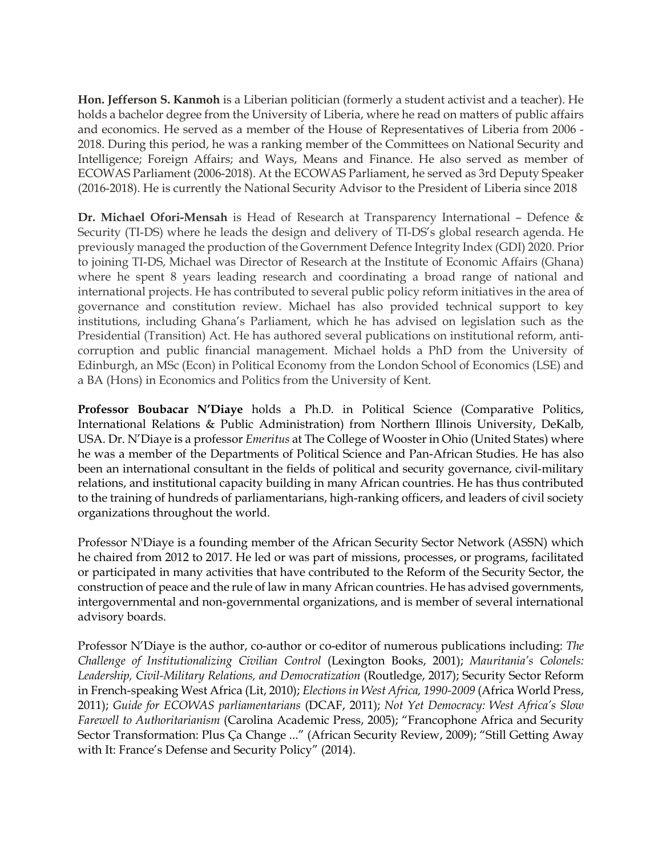**Hon. Jefferson S. Kanmoh** is a Liberian politician (formerly a student activist and a teacher). He holds a bachelor degree from the University of Liberia, where he read on matters of public affairs and economics. He served as a member of the House of Representatives of Liberia from 2006 - 2018. During this period, he was a ranking member of the Committees on National Security and Intelligence; Foreign Affairs; and Ways, Means and Finance. He also served as member of ECOWAS Parliament (2006-2018). At the ECOWAS Parliament, he served as 3rd Deputy Speaker (2016-2018). He is currently the National Security Advisor to the President of Liberia since 2018

**Dr. Michael Ofori-Mensah** is Head of Research at Transparency International – Defence & Security (TI-DS) where he leads the design and delivery of TI-DS's global research agenda. He previously managed the production of the Government Defence Integrity Index (GDI) 2020. Prior to joining TI-DS, Michael was Director of Research at the Institute of Economic Affairs (Ghana) where he spent 8 years leading research and coordinating a broad range of national and international projects. He has contributed to several public policy reform initiatives in the area of governance and constitution review. Michael has also provided technical support to key institutions, including Ghana's Parliament, which he has advised on legislation such as the Presidential (Transition) Act. He has authored several publications on institutional reform, anticorruption and public financial management. Michael holds a PhD from the University of Edinburgh, an MSc (Econ) in Political Economy from the London School of Economics (LSE) and a BA (Hons) in Economics and Politics from the University of Kent.

**Professor Boubacar N'Diaye** holds a Ph.D. in Political Science (Comparative Politics, International Relations & Public Administration) from Northern Illinois University, DeKalb, USA. Dr. N'Diaye is a professor *Emeritus* at The College of Wooster in Ohio (United States) where he was a member of the Departments of Political Science and Pan-African Studies. He has also been an international consultant in the fields of political and security governance, civil-military relations, and institutional capacity building in many African countries. He has thus contributed to the training of hundreds of parliamentarians, high-ranking officers, and leaders of civil society organizations throughout the world.

Professor N'Diaye is a founding member of the African Security Sector Network (ASSN) which he chaired from 2012 to 2017. He led or was part of missions, processes, or programs, facilitated or participated in many activities that have contributed to the Reform of the Security Sector, the construction of peace and the rule of law in many African countries. He has advised governments, intergovernmental and non-governmental organizations, and is member of several international advisory boards.

Professor N'Diaye is the author, co-author or co-editor of numerous publications including: *The Challenge of Institutionalizing Civilian Control* (Lexington Books, 2001); *Mauritania's Colonels: Leadership, Civil-Military Relations, and Democratization* (Routledge, 2017); Security Sector Reform in French-speaking West Africa (Lit, 2010); *Elections in West Africa, 1990-2009* (Africa World Press, 2011); *Guide for ECOWAS parliamentarians* (DCAF, 2011); *Not Yet Democracy: West Africa's Slow Farewell to Authoritarianism* (Carolina Academic Press, 2005); "Francophone Africa and Security Sector Transformation: Plus Ça Change ..." (African Security Review, 2009); "Still Getting Away with It: France's Defense and Security Policy" (2014).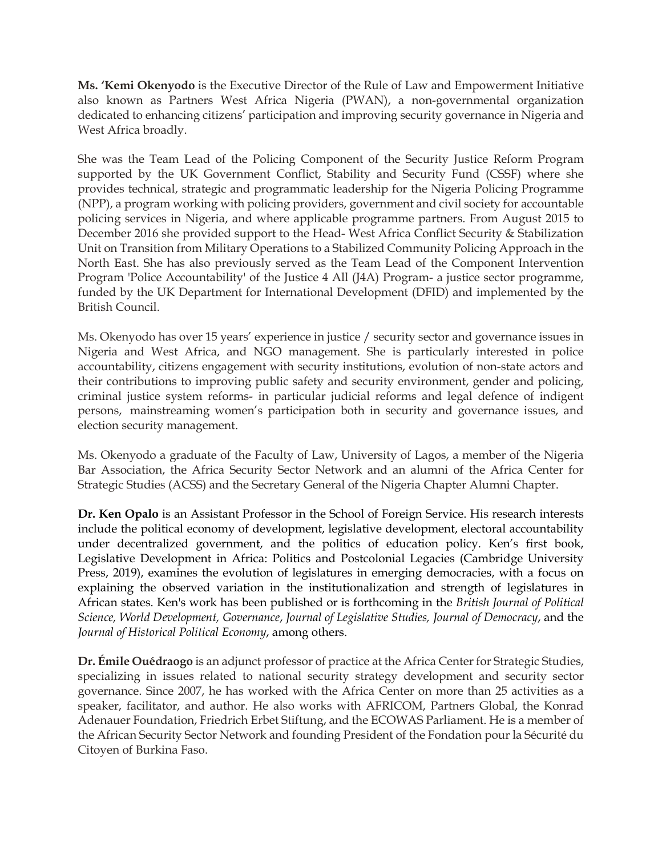**Ms. 'Kemi Okenyodo** is the Executive Director of the Rule of Law and Empowerment Initiative also known as Partners West Africa Nigeria (PWAN), a non-governmental organization dedicated to enhancing citizens' participation and improving security governance in Nigeria and West Africa broadly.

She was the Team Lead of the Policing Component of the Security Justice Reform Program supported by the UK Government Conflict, Stability and Security Fund (CSSF) where she provides technical, strategic and programmatic leadership for the Nigeria Policing Programme (NPP), a program working with policing providers, government and civil society for accountable policing services in Nigeria, and where applicable programme partners. From August 2015 to December 2016 she provided support to the Head- West Africa Conflict Security & Stabilization Unit on Transition from Military Operations to a Stabilized Community Policing Approach in the North East. She has also previously served as the Team Lead of the Component Intervention Program 'Police Accountability' of the Justice 4 All (J4A) Program- a justice sector programme, funded by the UK Department for International Development (DFID) and implemented by the British Council.

Ms. Okenyodo has over 15 years' experience in justice / security sector and governance issues in Nigeria and West Africa, and NGO management. She is particularly interested in police accountability, citizens engagement with security institutions, evolution of non-state actors and their contributions to improving public safety and security environment, gender and policing, criminal justice system reforms- in particular judicial reforms and legal defence of indigent persons, mainstreaming women's participation both in security and governance issues, and election security management.

Ms. Okenyodo a graduate of the Faculty of Law, University of Lagos, a member of the Nigeria Bar Association, the Africa Security Sector Network and an alumni of the Africa Center for Strategic Studies (ACSS) and the Secretary General of the Nigeria Chapter Alumni Chapter.

**Dr. Ken Opalo** is an Assistant Professor in the School of Foreign Service. His research interests include the political economy of development, legislative development, electoral accountability under decentralized government, and the politics of education policy. Ken's first book, Legislative Development in Africa: Politics and Postcolonial Legacies (Cambridge University Press, 2019), examines the evolution of legislatures in emerging democracies, with a focus on explaining the observed variation in the institutionalization and strength of legislatures in African states. Ken's work has been published or is forthcoming in the *British Journal of Political Science, World Development, Governance*, *Journal of Legislative Studies, Journal of Democracy*, and the *Journal of Historical Political Economy*, among others.

**Dr. Émile Ouédraogo** is an adjunct professor of practice at the Africa Center for Strategic Studies, specializing in issues related to national security strategy development and security sector governance. Since 2007, he has worked with the Africa Center on more than 25 activities as a speaker, facilitator, and author. He also works with AFRICOM, Partners Global, the Konrad Adenauer Foundation, Friedrich Erbet Stiftung, and the ECOWAS Parliament. He is a member of the African Security Sector Network and founding President of the Fondation pour la Sécurité du Citoyen of Burkina Faso.